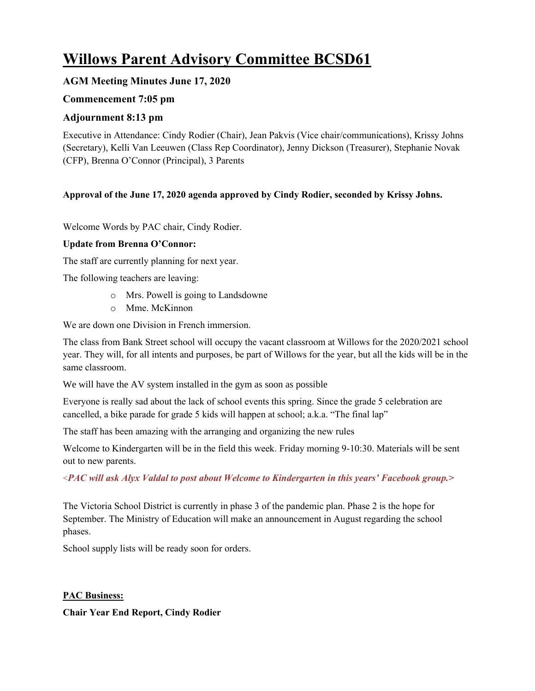# **Willows Parent Advisory Committee BCSD61**

## **AGM Meeting Minutes June 17, 2020**

## **Commencement 7:05 pm**

## **Adjournment 8:13 pm**

Executive in Attendance: Cindy Rodier (Chair), Jean Pakvis (Vice chair/communications), Krissy Johns (Secretary), Kelli Van Leeuwen (Class Rep Coordinator), Jenny Dickson (Treasurer), Stephanie Novak (CFP), Brenna O'Connor (Principal), 3 Parents

#### **Approval of the June 17, 2020 agenda approved by Cindy Rodier, seconded by Krissy Johns.**

Welcome Words by PAC chair, Cindy Rodier.

#### **Update from Brenna O'Connor:**

The staff are currently planning for next year.

The following teachers are leaving:

- o Mrs. Powell is going to Landsdowne
- o Mme. McKinnon

We are down one Division in French immersion.

The class from Bank Street school will occupy the vacant classroom at Willows for the 2020/2021 school year. They will, for all intents and purposes, be part of Willows for the year, but all the kids will be in the same classroom.

We will have the AV system installed in the gym as soon as possible

Everyone is really sad about the lack of school events this spring. Since the grade 5 celebration are cancelled, a bike parade for grade 5 kids will happen at school; a.k.a. "The final lap"

The staff has been amazing with the arranging and organizing the new rules

Welcome to Kindergarten will be in the field this week. Friday morning 9-10:30. Materials will be sent out to new parents.

<*PAC will ask Alyx Valdal to post about Welcome to Kindergarten in this years' Facebook group.>*

The Victoria School District is currently in phase 3 of the pandemic plan. Phase 2 is the hope for September. The Ministry of Education will make an announcement in August regarding the school phases.

School supply lists will be ready soon for orders.

**PAC Business:**

**Chair Year End Report, Cindy Rodier**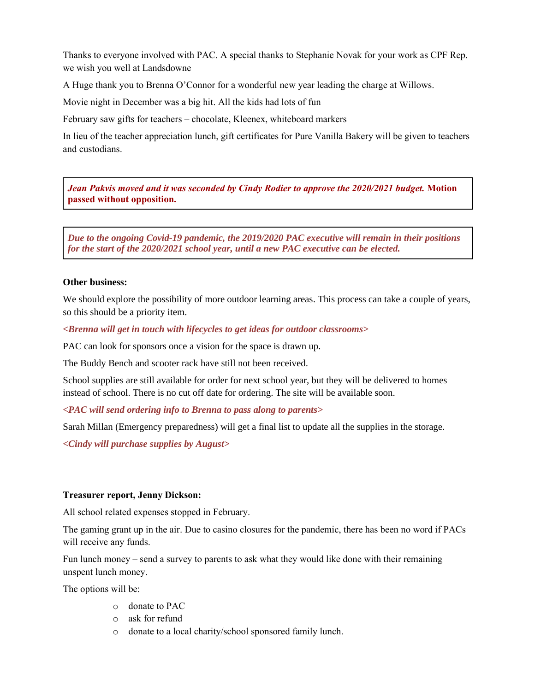Thanks to everyone involved with PAC. A special thanks to Stephanie Novak for your work as CPF Rep. we wish you well at Landsdowne

A Huge thank you to Brenna O'Connor for a wonderful new year leading the charge at Willows.

Movie night in December was a big hit. All the kids had lots of fun

February saw gifts for teachers – chocolate, Kleenex, whiteboard markers

In lieu of the teacher appreciation lunch, gift certificates for Pure Vanilla Bakery will be given to teachers and custodians.

*Jean Pakvis moved and it was seconded by Cindy Rodier to approve the 2020/2021 budget.* **Motion passed without opposition.**

*Due to the ongoing Covid-19 pandemic, the 2019/2020 PAC executive will remain in their positions for the start of the 2020/2021 school year, until a new PAC executive can be elected.*

#### **Other business:**

We should explore the possibility of more outdoor learning areas. This process can take a couple of years, so this should be a priority item.

*<Brenna will get in touch with lifecycles to get ideas for outdoor classrooms>*

PAC can look for sponsors once a vision for the space is drawn up.

The Buddy Bench and scooter rack have still not been received.

School supplies are still available for order for next school year, but they will be delivered to homes instead of school. There is no cut off date for ordering. The site will be available soon.

*<PAC will send ordering info to Brenna to pass along to parents>*

Sarah Millan (Emergency preparedness) will get a final list to update all the supplies in the storage.

*<Cindy will purchase supplies by August>*

#### **Treasurer report, Jenny Dickson:**

All school related expenses stopped in February.

The gaming grant up in the air. Due to casino closures for the pandemic, there has been no word if PACs will receive any funds.

Fun lunch money – send a survey to parents to ask what they would like done with their remaining unspent lunch money.

The options will be:

- o donate to PAC
- o ask for refund
- o donate to a local charity/school sponsored family lunch.